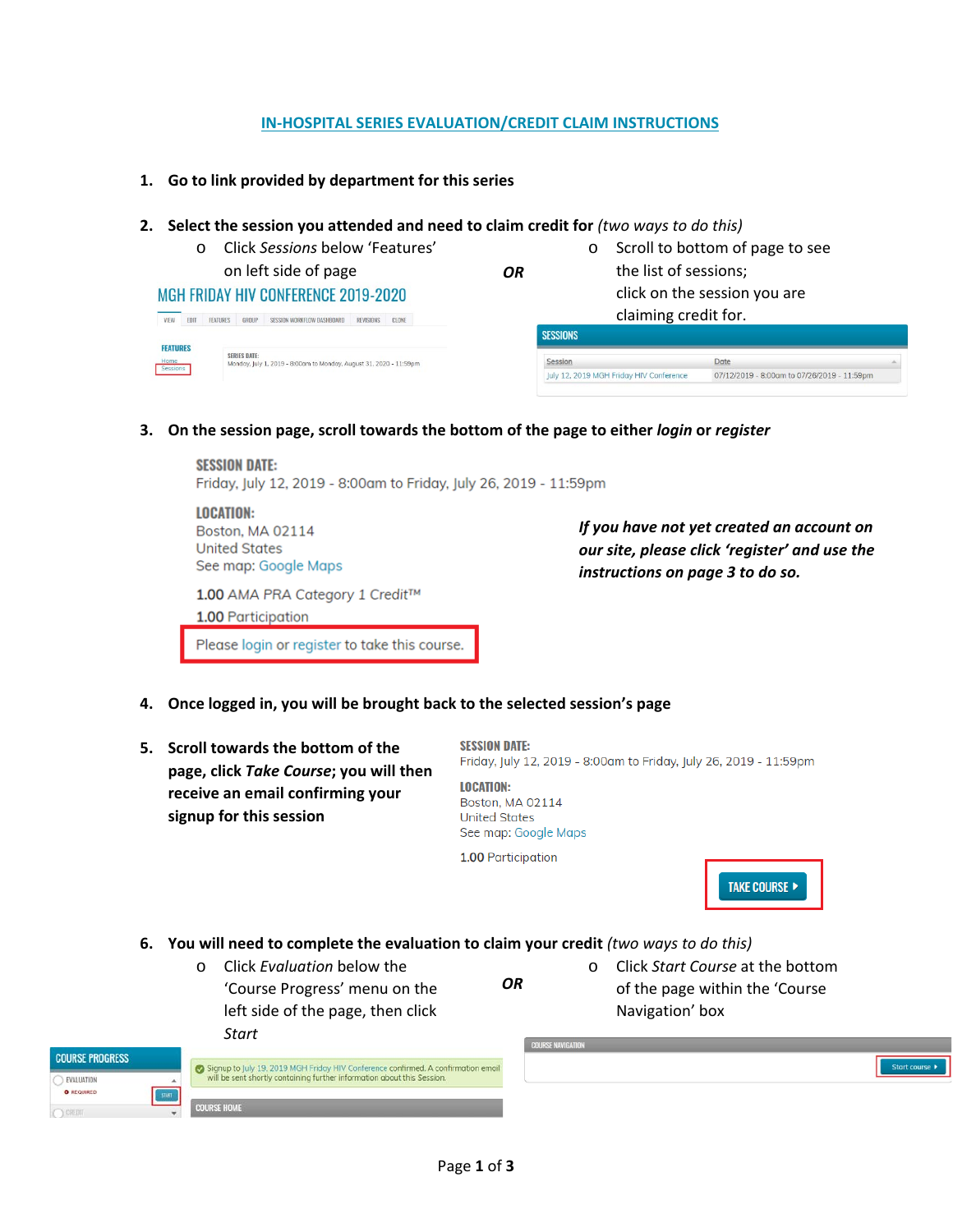## **IN-HOSPITAL SERIES EVALUATION/CREDIT CLAIM INSTRUCTIONS**

- **1. Go to link provided by department for this series**
- **2. Select the session you attended and need to claim credit for** *(two ways to do this)*

| $\cap$                         | Click Sessions below 'Features'                                                           |    | O                                       | Scroll to bottom of page to see             |  |
|--------------------------------|-------------------------------------------------------------------------------------------|----|-----------------------------------------|---------------------------------------------|--|
|                                | on left side of page                                                                      | OR |                                         | the list of sessions;                       |  |
|                                | <b>MGH FRIDAY HIV CONFERENCE 2019-2020</b>                                                |    |                                         | click on the session you are                |  |
| <b>FDIT</b><br><b>FEATURES</b> | GROUP<br>SESSION WORKFLOW DASHBOARD<br>REVISIONS CLONE                                    |    |                                         | claiming credit for.                        |  |
| <b>FEATURES</b>                |                                                                                           |    | <b>SESSIONS</b>                         |                                             |  |
| Home<br>Sessions               | <b>SERIES DATE:</b><br>Monday, July 1, 2019 - 8:00am to Monday, August 31, 2020 - 11:59pm |    | Session                                 | Date                                        |  |
|                                |                                                                                           |    | July 12, 2019 MGH Friday HIV Conference | 07/12/2019 - 8:00am to 07/26/2019 - 11:59pm |  |

**3. On the session page, scroll towards the bottom of the page to either** *login* **or** *register*

**SESSION DATE:** Friday, July 12, 2019 - 8:00am to Friday, July 26, 2019 - 11:59pm

**LOCATION: Boston, MA 02114 United States** See map: Google Maps

1.00 AMA PRA Category 1 Credit™

1.00 Participation

Please login or register to take this course.

*If you have not yet created an account on our site, please click 'register' and use the instructions on page 3 to do so.*

- **4. Once logged in, you will be brought back to the selected session's page**
- **5. Scroll towards the bottom of the page, click** *Take Course***; you will then receive an email confirming your signup for this session**

**SESSION DATE:** Friday, July 12, 2019 - 8:00am to Friday, July 26, 2019 - 11:59pm

**LOCATION:** Boston, MA 02114 **United States** See map: Google Maps

1.00 Participation



**6. You will need to complete the evaluation to claim your credit** *(two ways to do this)*

| $\Omega$ | Click Evaluation below the        |  |  |  |  |
|----------|-----------------------------------|--|--|--|--|
|          | 'Course Progress' menu on the     |  |  |  |  |
|          | left side of the page, then click |  |  |  |  |
|          | Start                             |  |  |  |  |

*OR*

o Click *Start Course* at the bottom of the page within the 'Course Navigation' box

| <b>COURSE PROGRESS</b>          | Signup to July 19, 2019 MGH Friday HIV Conference confirmed. A confirmation email | <b>COURSE NAVIGATION</b> |
|---------------------------------|-----------------------------------------------------------------------------------|--------------------------|
| EVALUATION<br><b>O</b> REQUIRED | will be sent shortly containing further information about this Session.           |                          |
|                                 | <b>COURSE HOME</b>                                                                |                          |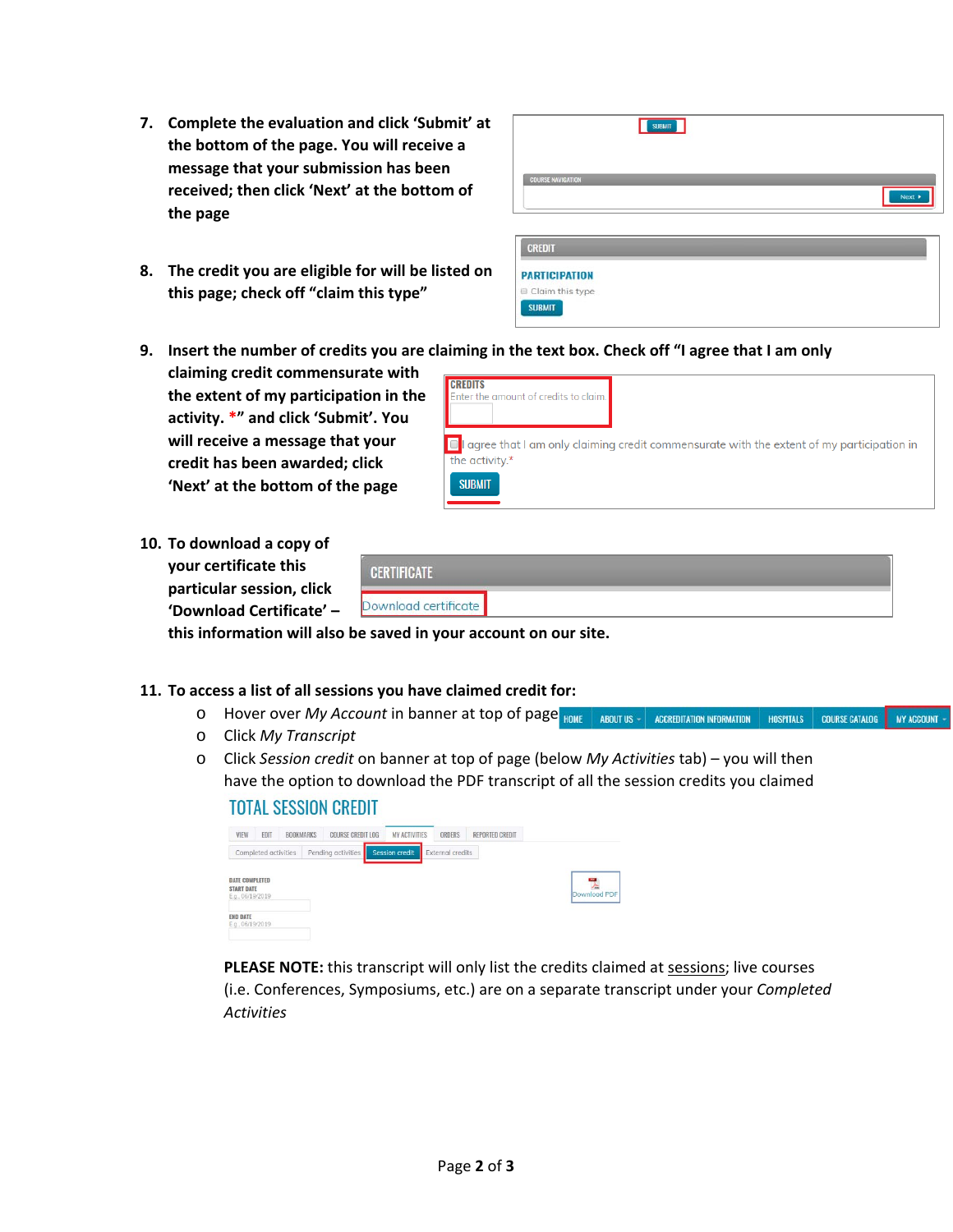- **7. Complete the evaluation and click 'Submit' at the bottom of the page. You will receive a message that your submission has been received; then click 'Next' at the bottom of the page**
- **8. The credit you are eligible for will be listed on this page; check off "claim this type"**

|                          | <b>SUBMIT</b> |        |
|--------------------------|---------------|--------|
| <b>COURSE NAVIGATION</b> |               |        |
|                          |               | Next + |
|                          |               |        |

| <b>CREDIT</b>        |  |
|----------------------|--|
| <b>PARTICIPATION</b> |  |
| Claim this type      |  |
| <b>SUBMIT</b>        |  |

- **9. Insert the number of credits you are claiming in the text box. Check off "I agree that I am only**
- **claiming credit commensurate with the extent of my participation in the activity. \*" and click 'Submit'. You will receive a message that your credit has been awarded; click 'Next' at the bottom of the page**

| Enter the amount of credits to claim. |                                                                                                         |
|---------------------------------------|---------------------------------------------------------------------------------------------------------|
| the activity.*                        | $\blacksquare$ agree that I am only claiming credit commensurate with the extent of my participation in |
| <b>SUBMIT</b>                         |                                                                                                         |

**10. To download a copy of your certificate this particular session, click 'Download Certificate' –**

| <b>MARIA DE MARIA A CONTEMA DE SU</b> |  |
|---------------------------------------|--|
|                                       |  |

**this information will also be saved in your account on our site.**

## **11. To access a list of all sessions you have claimed credit for:**

- o Hover over *My Account* in banner at top of page  $_{HOME}$  | ABOUTUS | ACCREDITATION INFORMATION | HOSPITALS | COURSE CATALOG | MY ACCOUNT -
- o Click *My Transcript*
- o Click *Session credit* on banner at top of page (below *My Activities* tab) you will then have the option to download the PDF transcript of all the session credits you claimed

## **TOTAL SESSION CREDIT**

| VIEW                                                           | <b>FDIT</b>          | BOOKMARKS | <b>COURSE CREDIT LOG</b> | <b>MY ACTIVITIES</b>  | ORDERS           | REPORTED CREDIT |              |
|----------------------------------------------------------------|----------------------|-----------|--------------------------|-----------------------|------------------|-----------------|--------------|
|                                                                | Completed activities |           | Pending activities       | <b>Session credit</b> | External credits |                 |              |
| <b>DATE COMPLETED</b><br><b>START DATE</b><br>E.g., 06/19/2019 |                      |           |                          |                       |                  |                 | Download PDF |
| <b>END DATE</b><br>E.g., 06/19/2019                            |                      |           |                          |                       |                  |                 |              |

**PLEASE NOTE:** this transcript will only list the credits claimed at sessions; live courses (i.e. Conferences, Symposiums, etc.) are on a separate transcript under your *Completed Activities*